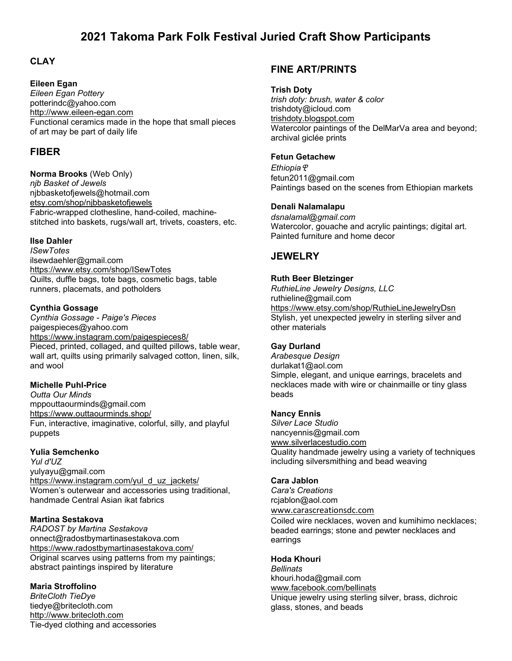# **2021 Takoma Park Folk Festival Juried Craft Show Participants**

## **CLAY**

### **Eileen Egan**

*Eileen Egan Pottery* potterindc@yahoo.com [http://www.eileen-egan.com](http://www.eileen-egan.com/) Functional ceramics made in the hope that small pieces of art may be part of daily life

## **FIBER**

### **Norma Brooks** (Web Only)

*njb Basket of Jewels* [njbbasketofjewels@hotmail.com](mailto:njbbasketofjewels@hotmail.com) [etsy.com/shop/njbbasketofjewels](http://etsy.com/shop/njbbasketofjewels) Fabric-wrapped clothesline, hand-coiled, machinestitched into baskets, rugs/wall art, trivets, coasters, etc.

### **Ilse Dahler**

*ISewTotes* ilsewdaehler@gmail.com <https://www.etsy.com/shop/ISewTotes> Quilts, duffle bags, tote bags, cosmetic bags, table runners, placemats, and potholders

### **Cynthia Gossage**

*Cynthia Gossage - Paige's Pieces* paigespieces@yahoo.com <https://www.instagram.com/paigespieces8/> Pieced, printed, collaged, and quilted pillows, table wear, wall art, quilts using primarily salvaged cotton, linen, silk, and wool

#### **Michelle Puhl-Price**

*Outta Our Minds*  mppouttaourminds@gmail.com <https://www.outtaourminds.shop/> Fun, interactive, imaginative, colorful, silly, and playful puppets

#### **Yulia Semchenko**

*Yul d'UZ* yulyayu@gmail.com [https://www.instagram.com/yul\\_d\\_uz\\_jackets/](https://www.instagram.com/yul_d_uz_jackets/) Women's outerwear and accessories using traditional, handmade Central Asian ikat fabrics

#### **Martina Sestakova**

*RADOST by Martina Sestakova* onnect@radostbymartinasestakova.com <https://www.radostbymartinasestakova.com/> Original scarves using patterns from my paintings; abstract paintings inspired by literature

### **Maria Stroffolino**

*BriteCloth TieDye* tiedye@britecloth.com [http://www.britecloth.com](http://www.britecloth.com/) Tie-dyed clothing and accessories

## **FINE ART/PRINTS**

#### **Trish Doty**

*trish doty: brush, water & color* trishdoty@icloud.com [trishdoty.blogspot.com](http://trishdoty.blogspot.com/) Watercolor paintings of the DelMarVa area and beyond; archival giclée prints

#### **Fetun Getachew**

*Ethiopia*ዊ fetun2011@gmail.com Paintings based on the scenes from Ethiopian markets

#### **Denali Nalamalapu**

*dsnalamal@gmail.com* Watercolor, gouache and acrylic paintings; digital art. Painted furniture and home decor

## **JEWELRY**

#### **Ruth Beer Bletzinger**

*RuthieLine Jewelry Designs, LLC* ruthieline@gmail.com <https://www.etsy.com/shop/RuthieLineJewelryDsn> Stylish, yet unexpected jewelry in sterling silver and other materials

#### **Gay Durland**

*Arabesque Design* durlakat1@aol.com Simple, elegant, and unique earrings, bracelets and necklaces made with wire or chainmaille or tiny glass beads

#### **Nancy Ennis**

*Silver Lace Studio* nancyennis@gmail.com [www.silverlacestudio.com](http://www.silverlacestudio.com/) Quality handmade jewelry using a variety of techniques including silversmithing and bead weaving

#### **Cara Jablon**

*Cara's Creations* [rcjablon@aol.com](mailto:rcjablon@aol.com)

[www.carascreationsdc.com](http://www.carascreationsdc.com/)

Coiled wire necklaces, woven and kumihimo necklaces; beaded earrings; stone and pewter necklaces and earrings

#### **Hoda Khouri**

*Bellinats* khouri.hoda@gmail.com [www.facebook.com/bellinats](http://www.facebook.com/bellinats) Unique jewelry using sterling silver, brass, dichroic glass, stones, and beads